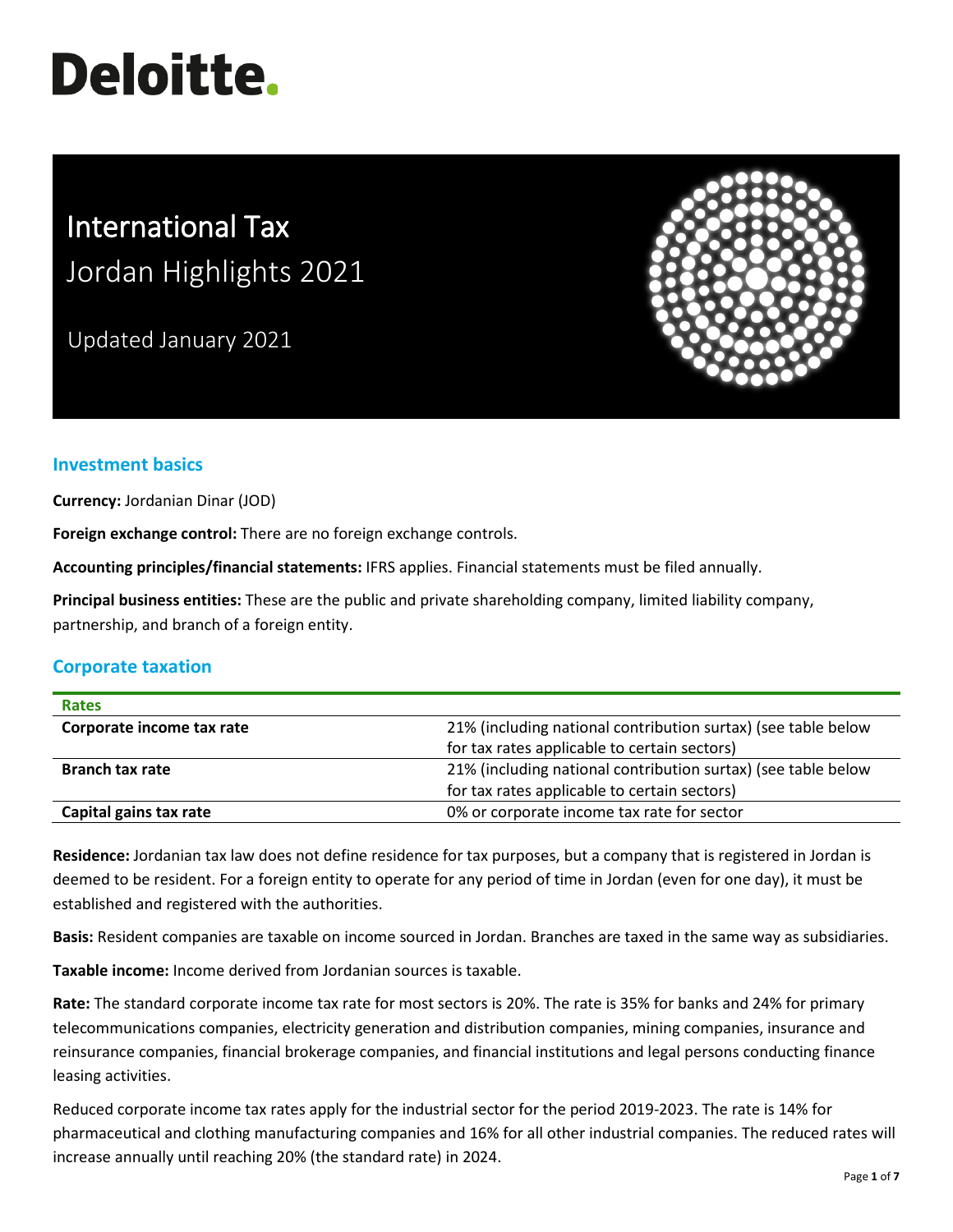# **Deloitte.**

# International Tax Jordan Highlights 2021

Updated January 2021



# **Investment basics**

**Currency:** Jordanian Dinar (JOD)

**Foreign exchange control:** There are no foreign exchange controls.

**Accounting principles/financial statements:** IFRS applies. Financial statements must be filed annually.

**Principal business entities:** These are the public and private shareholding company, limited liability company, partnership, and branch of a foreign entity.

## **Corporate taxation**

| <b>Rates</b>              |                                                               |
|---------------------------|---------------------------------------------------------------|
| Corporate income tax rate | 21% (including national contribution surtax) (see table below |
|                           | for tax rates applicable to certain sectors)                  |
| <b>Branch tax rate</b>    | 21% (including national contribution surtax) (see table below |
|                           | for tax rates applicable to certain sectors)                  |
| Capital gains tax rate    | 0% or corporate income tax rate for sector                    |

**Residence:** Jordanian tax law does not define residence for tax purposes, but a company that is registered in Jordan is deemed to be resident. For a foreign entity to operate for any period of time in Jordan (even for one day), it must be established and registered with the authorities.

**Basis:** Resident companies are taxable on income sourced in Jordan. Branches are taxed in the same way as subsidiaries.

**Taxable income:** Income derived from Jordanian sources is taxable.

**Rate:** The standard corporate income tax rate for most sectors is 20%. The rate is 35% for banks and 24% for primary telecommunications companies, electricity generation and distribution companies, mining companies, insurance and reinsurance companies, financial brokerage companies, and financial institutions and legal persons conducting finance leasing activities.

Reduced corporate income tax rates apply for the industrial sector for the period 2019-2023. The rate is 14% for pharmaceutical and clothing manufacturing companies and 16% for all other industrial companies. The reduced rates will increase annually until reaching 20% (the standard rate) in 2024.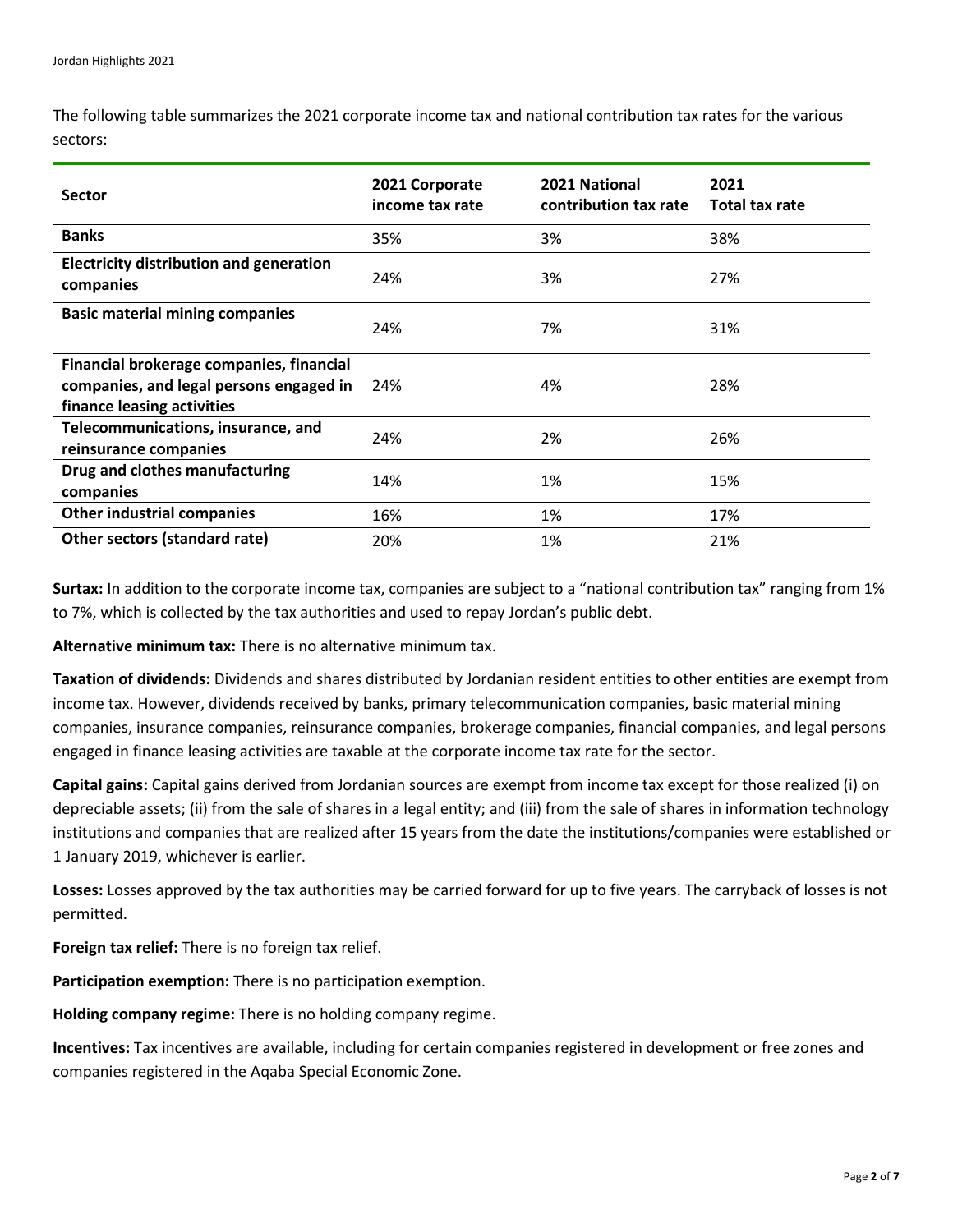The following table summarizes the 2021 corporate income tax and national contribution tax rates for the various sectors:

| <b>Sector</b>                                                                                                     | 2021 Corporate<br>income tax rate | 2021 National<br>contribution tax rate | 2021<br><b>Total tax rate</b> |
|-------------------------------------------------------------------------------------------------------------------|-----------------------------------|----------------------------------------|-------------------------------|
| <b>Banks</b>                                                                                                      | 35%                               | 3%                                     | 38%                           |
| <b>Electricity distribution and generation</b><br>companies                                                       | 24%                               | 3%                                     | 27%                           |
| <b>Basic material mining companies</b>                                                                            | 24%                               | 7%                                     | 31%                           |
| Financial brokerage companies, financial<br>companies, and legal persons engaged in<br>finance leasing activities | 24%                               | 4%                                     | 28%                           |
| Telecommunications, insurance, and<br>reinsurance companies                                                       | 24%                               | 2%                                     | 26%                           |
| Drug and clothes manufacturing<br>companies                                                                       | 14%                               | 1%                                     | 15%                           |
| <b>Other industrial companies</b>                                                                                 | 16%                               | 1%                                     | 17%                           |
| Other sectors (standard rate)                                                                                     | 20%                               | 1%                                     | 21%                           |

**Surtax:** In addition to the corporate income tax, companies are subject to a "national contribution tax" ranging from 1% to 7%, which is collected by the tax authorities and used to repay Jordan's public debt.

**Alternative minimum tax:** There is no alternative minimum tax.

**Taxation of dividends:** Dividends and shares distributed by Jordanian resident entities to other entities are exempt from income tax. However, dividends received by banks, primary telecommunication companies, basic material mining companies, insurance companies, reinsurance companies, brokerage companies, financial companies, and legal persons engaged in finance leasing activities are taxable at the corporate income tax rate for the sector.

**Capital gains:** Capital gains derived from Jordanian sources are exempt from income tax except for those realized (i) on depreciable assets; (ii) from the sale of shares in a legal entity; and (iii) from the sale of shares in information technology institutions and companies that are realized after 15 years from the date the institutions/companies were established or 1 January 2019, whichever is earlier.

**Losses:** Losses approved by the tax authorities may be carried forward for up to five years. The carryback of losses is not permitted.

**Foreign tax relief:** There is no foreign tax relief.

**Participation exemption:** There is no participation exemption.

**Holding company regime:** There is no holding company regime.

**Incentives:** Tax incentives are available, including for certain companies registered in development or free zones and companies registered in the Aqaba Special Economic Zone.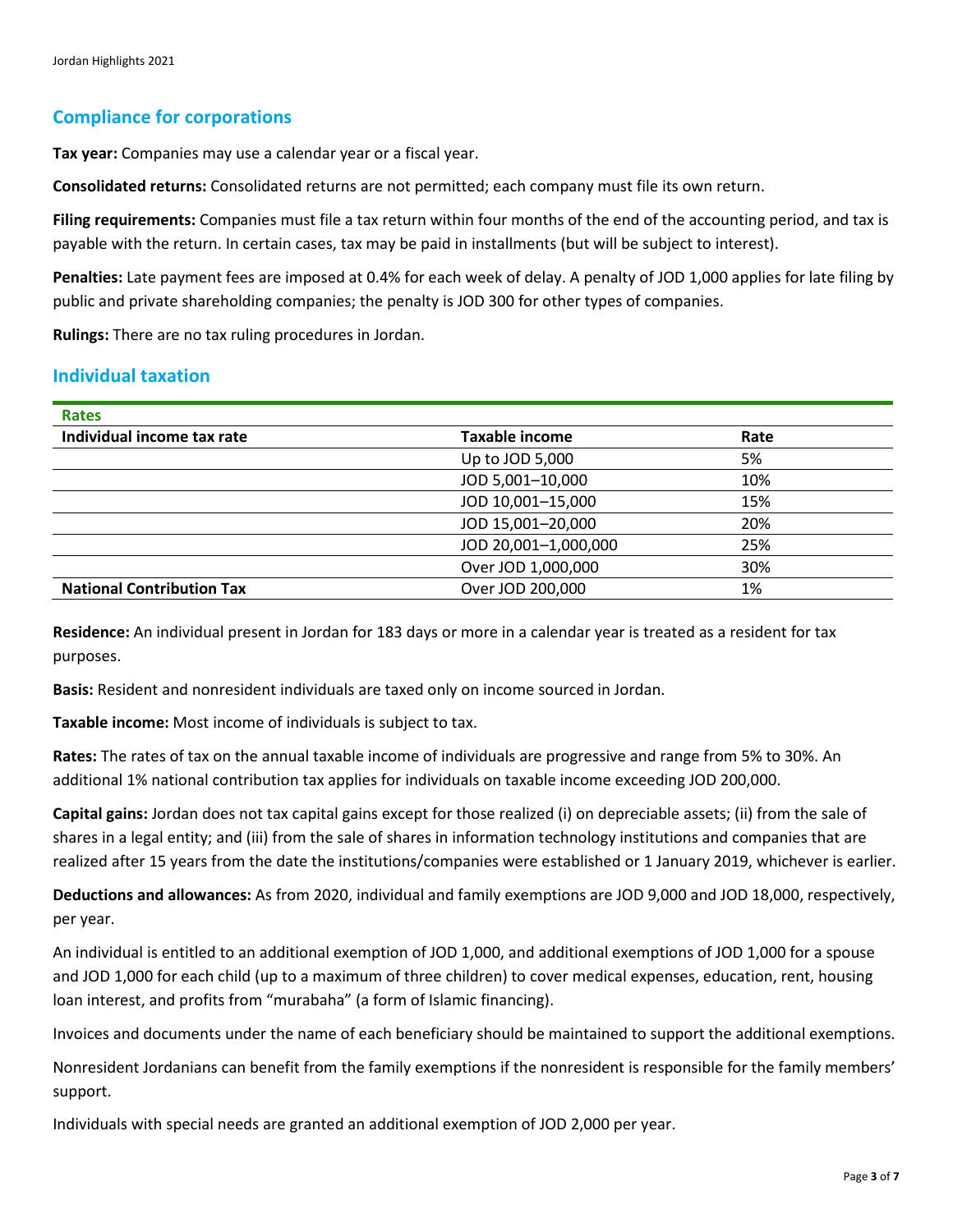### **Compliance for corporations**

**Tax year:** Companies may use a calendar year or a fiscal year.

**Consolidated returns:** Consolidated returns are not permitted; each company must file its own return.

**Filing requirements:** Companies must file a tax return within four months of the end of the accounting period, and tax is payable with the return. In certain cases, tax may be paid in installments (but will be subject to interest).

**Penalties:** Late payment fees are imposed at 0.4% for each week of delay. A penalty of JOD 1,000 applies for late filing by public and private shareholding companies; the penalty is JOD 300 for other types of companies.

**Rulings:** There are no tax ruling procedures in Jordan.

#### **Individual taxation**

| <b>Rates</b>                     |                       |      |  |
|----------------------------------|-----------------------|------|--|
| Individual income tax rate       | <b>Taxable income</b> | Rate |  |
|                                  | Up to JOD 5,000       | 5%   |  |
|                                  | JOD 5,001-10,000      | 10%  |  |
|                                  | JOD 10,001-15,000     | 15%  |  |
|                                  | JOD 15,001-20,000     | 20%  |  |
|                                  | JOD 20,001-1,000,000  | 25%  |  |
|                                  | Over JOD 1,000,000    | 30%  |  |
| <b>National Contribution Tax</b> | Over JOD 200,000      | 1%   |  |
|                                  |                       |      |  |

**Residence:** An individual present in Jordan for 183 days or more in a calendar year is treated as a resident for tax purposes.

**Basis:** Resident and nonresident individuals are taxed only on income sourced in Jordan.

**Taxable income:** Most income of individuals is subject to tax.

**Rates:** The rates of tax on the annual taxable income of individuals are progressive and range from 5% to 30%. An additional 1% national contribution tax applies for individuals on taxable income exceeding JOD 200,000.

**Capital gains:** Jordan does not tax capital gains except for those realized (i) on depreciable assets; (ii) from the sale of shares in a legal entity; and (iii) from the sale of shares in information technology institutions and companies that are realized after 15 years from the date the institutions/companies were established or 1 January 2019, whichever is earlier.

**Deductions and allowances:** As from 2020, individual and family exemptions are JOD 9,000 and JOD 18,000, respectively, per year.

An individual is entitled to an additional exemption of JOD 1,000, and additional exemptions of JOD 1,000 for a spouse and JOD 1,000 for each child (up to a maximum of three children) to cover medical expenses, education, rent, housing loan interest, and profits from "murabaha" (a form of Islamic financing).

Invoices and documents under the name of each beneficiary should be maintained to support the additional exemptions.

Nonresident Jordanians can benefit from the family exemptions if the nonresident is responsible for the family members' support.

Individuals with special needs are granted an additional exemption of JOD 2,000 per year.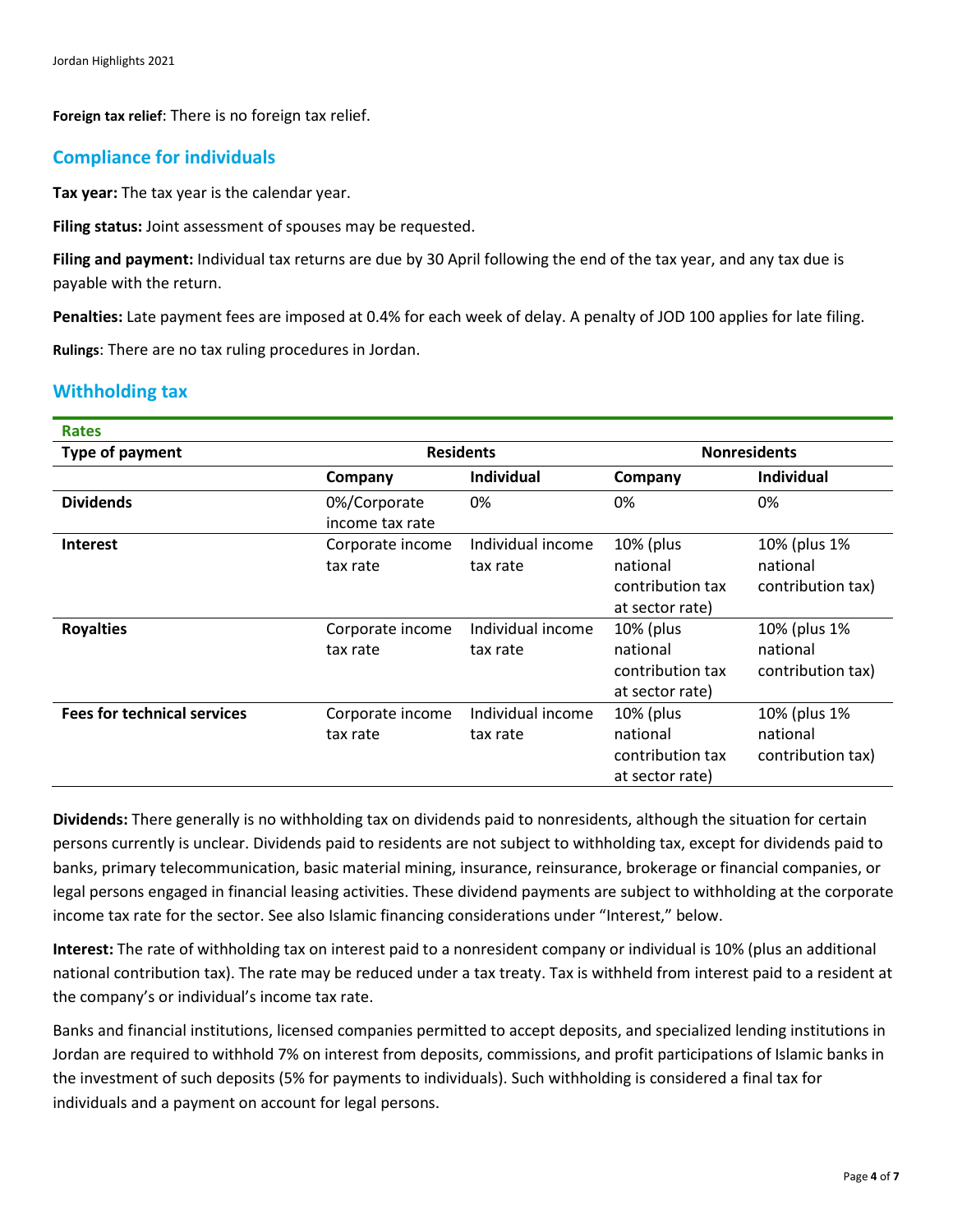**Foreign tax relief**: There is no foreign tax relief.

# **Compliance for individuals**

**Tax year:** The tax year is the calendar year.

**Filing status:** Joint assessment of spouses may be requested.

**Filing and payment:** Individual tax returns are due by 30 April following the end of the tax year, and any tax due is payable with the return.

**Penalties:** Late payment fees are imposed at 0.4% for each week of delay. A penalty of JOD 100 applies for late filing.

**Rulings**: There are no tax ruling procedures in Jordan.

# **Withholding tax**

| <b>Rates</b>                       |                                 |                               |                                                              |                                               |
|------------------------------------|---------------------------------|-------------------------------|--------------------------------------------------------------|-----------------------------------------------|
| Type of payment                    | <b>Residents</b>                |                               | <b>Nonresidents</b>                                          |                                               |
|                                    | Company                         | <b>Individual</b>             | Company                                                      | <b>Individual</b>                             |
| <b>Dividends</b>                   | 0%/Corporate<br>income tax rate | 0%                            | 0%                                                           | 0%                                            |
| <b>Interest</b>                    | Corporate income<br>tax rate    | Individual income<br>tax rate | 10% (plus<br>national<br>contribution tax<br>at sector rate) | 10% (plus 1%<br>national<br>contribution tax) |
| <b>Royalties</b>                   | Corporate income<br>tax rate    | Individual income<br>tax rate | 10% (plus<br>national<br>contribution tax<br>at sector rate) | 10% (plus 1%<br>national<br>contribution tax) |
| <b>Fees for technical services</b> | Corporate income<br>tax rate    | Individual income<br>tax rate | 10% (plus<br>national<br>contribution tax<br>at sector rate) | 10% (plus 1%<br>national<br>contribution tax) |

**Dividends:** There generally is no withholding tax on dividends paid to nonresidents, although the situation for certain persons currently is unclear. Dividends paid to residents are not subject to withholding tax, except for dividends paid to banks, primary telecommunication, basic material mining, insurance, reinsurance, brokerage or financial companies, or legal persons engaged in financial leasing activities. These dividend payments are subject to withholding at the corporate income tax rate for the sector. See also Islamic financing considerations under "Interest," below.

**Interest:** The rate of withholding tax on interest paid to a nonresident company or individual is 10% (plus an additional national contribution tax). The rate may be reduced under a tax treaty. Tax is withheld from interest paid to a resident at the company's or individual's income tax rate.

Banks and financial institutions, licensed companies permitted to accept deposits, and specialized lending institutions in Jordan are required to withhold 7% on interest from deposits, commissions, and profit participations of Islamic banks in the investment of such deposits (5% for payments to individuals). Such withholding is considered a final tax for individuals and a payment on account for legal persons.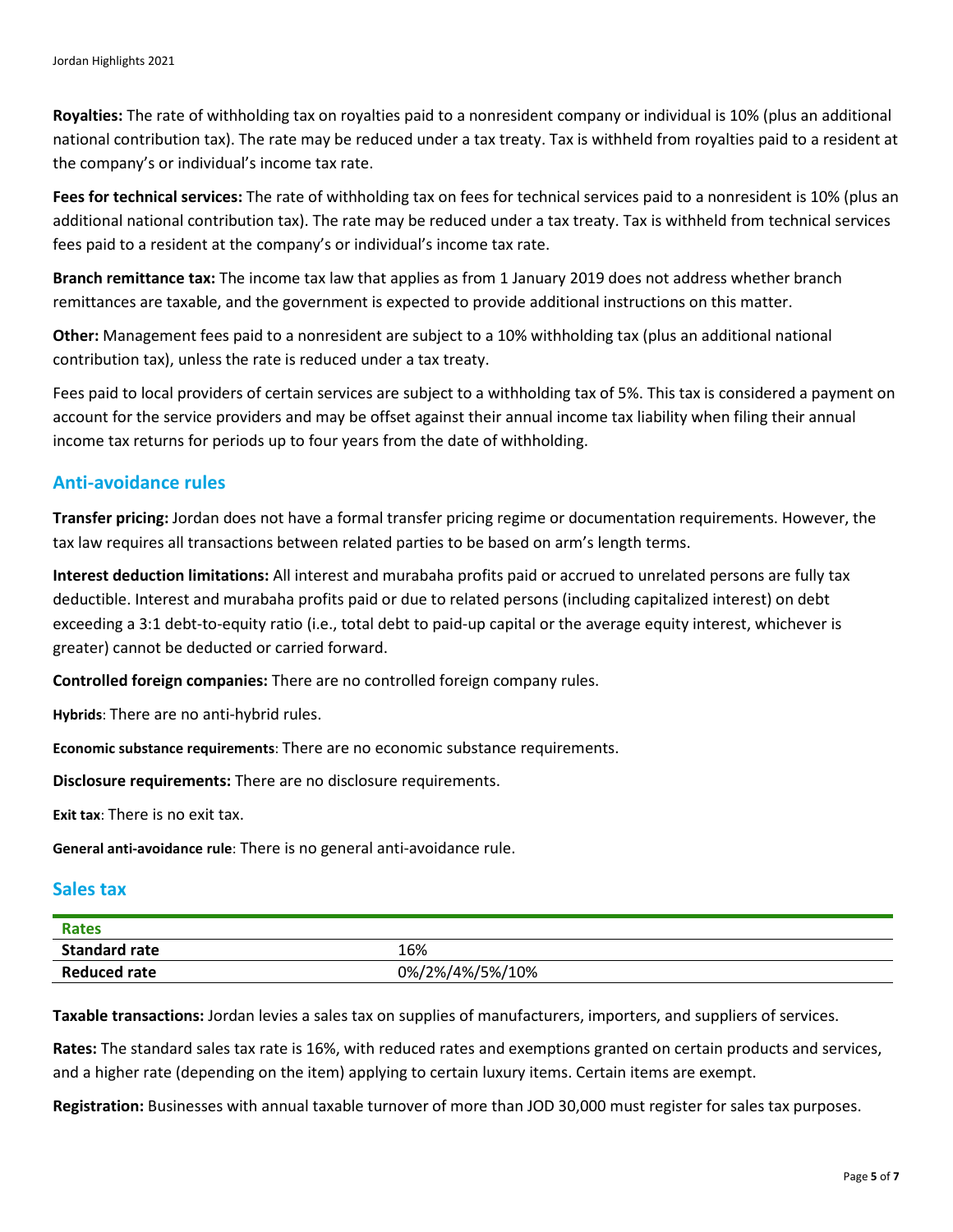**Royalties:** The rate of withholding tax on royalties paid to a nonresident company or individual is 10% (plus an additional national contribution tax). The rate may be reduced under a tax treaty. Tax is withheld from royalties paid to a resident at the company's or individual's income tax rate.

**Fees for technical services:** The rate of withholding tax on fees for technical services paid to a nonresident is 10% (plus an additional national contribution tax). The rate may be reduced under a tax treaty. Tax is withheld from technical services fees paid to a resident at the company's or individual's income tax rate.

**Branch remittance tax:** The income tax law that applies as from 1 January 2019 does not address whether branch remittances are taxable, and the government is expected to provide additional instructions on this matter.

**Other:** Management fees paid to a nonresident are subject to a 10% withholding tax (plus an additional national contribution tax), unless the rate is reduced under a tax treaty.

Fees paid to local providers of certain services are subject to a withholding tax of 5%. This tax is considered a payment on account for the service providers and may be offset against their annual income tax liability when filing their annual income tax returns for periods up to four years from the date of withholding.

#### **Anti-avoidance rules**

**Transfer pricing:** Jordan does not have a formal transfer pricing regime or documentation requirements. However, the tax law requires all transactions between related parties to be based on arm's length terms.

**Interest deduction limitations:** All interest and murabaha profits paid or accrued to unrelated persons are fully tax deductible. Interest and murabaha profits paid or due to related persons (including capitalized interest) on debt exceeding a 3:1 debt-to-equity ratio (i.e., total debt to paid-up capital or the average equity interest, whichever is greater) cannot be deducted or carried forward.

**Controlled foreign companies:** There are no controlled foreign company rules.

**Hybrids**: There are no anti-hybrid rules.

**Economic substance requirements**: There are no economic substance requirements.

**Disclosure requirements:** There are no disclosure requirements.

**Exit tax**: There is no exit tax.

**General anti-avoidance rule**: There is no general anti-avoidance rule.

#### **Sales tax**

| <b>Rates</b>         |                 |
|----------------------|-----------------|
| <b>Standard rate</b> | 16%             |
| <b>Reduced rate</b>  | 0%/2%/4%/5%/10% |

**Taxable transactions:** Jordan levies a sales tax on supplies of manufacturers, importers, and suppliers of services.

**Rates:** The standard sales tax rate is 16%, with reduced rates and exemptions granted on certain products and services, and a higher rate (depending on the item) applying to certain luxury items. Certain items are exempt.

**Registration:** Businesses with annual taxable turnover of more than JOD 30,000 must register for sales tax purposes.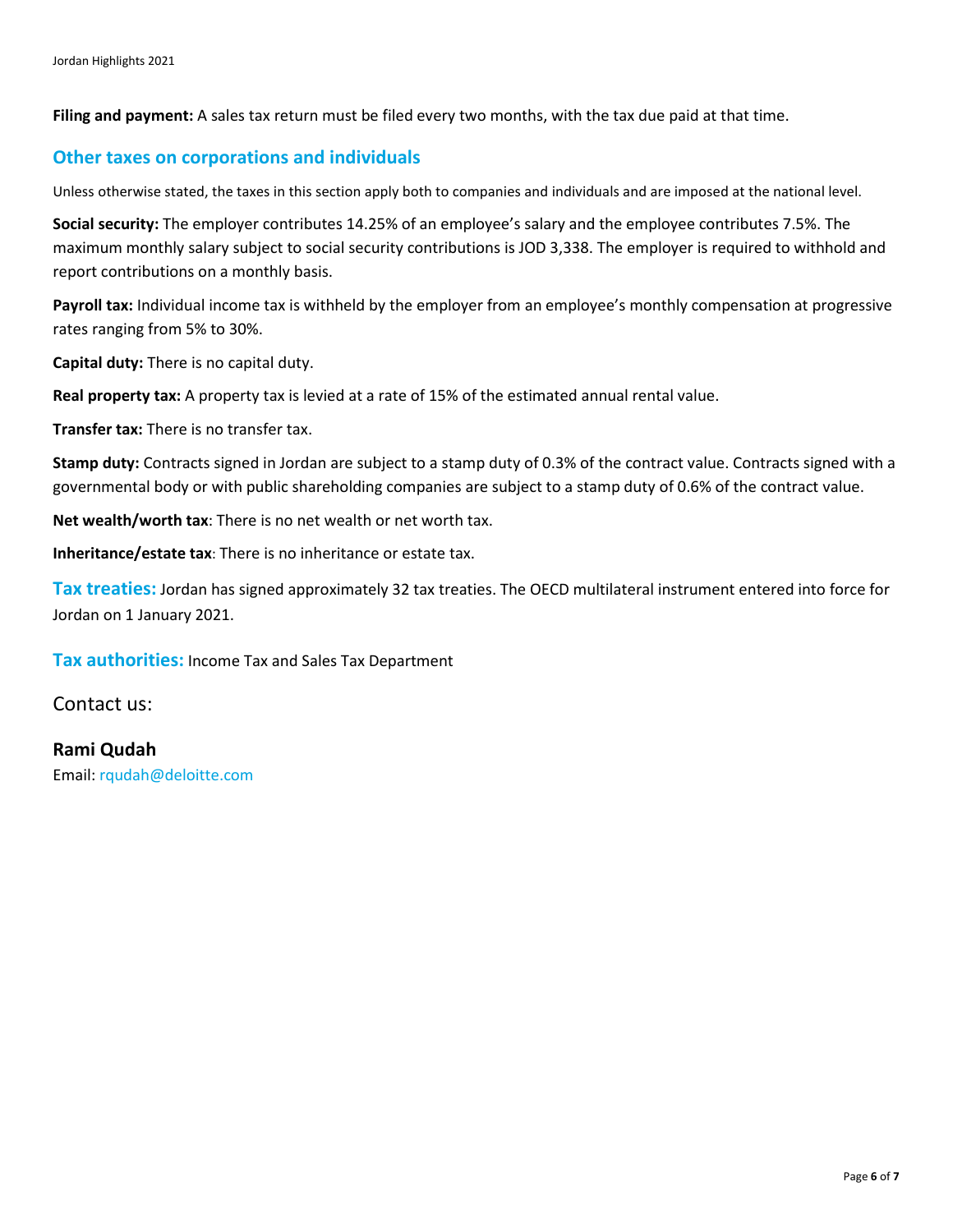**Filing and payment:** A sales tax return must be filed every two months, with the tax due paid at that time.

#### **Other taxes on corporations and individuals**

Unless otherwise stated, the taxes in this section apply both to companies and individuals and are imposed at the national level.

**Social security:** The employer contributes 14.25% of an employee's salary and the employee contributes 7.5%. The maximum monthly salary subject to social security contributions is JOD 3,338. The employer is required to withhold and report contributions on a monthly basis.

Payroll tax: Individual income tax is withheld by the employer from an employee's monthly compensation at progressive rates ranging from 5% to 30%.

**Capital duty:** There is no capital duty.

**Real property tax:** A property tax is levied at a rate of 15% of the estimated annual rental value.

**Transfer tax:** There is no transfer tax.

**Stamp duty:** Contracts signed in Jordan are subject to a stamp duty of 0.3% of the contract value. Contracts signed with a governmental body or with public shareholding companies are subject to a stamp duty of 0.6% of the contract value.

**Net wealth/worth tax**: There is no net wealth or net worth tax.

**Inheritance/estate tax**: There is no inheritance or estate tax.

**Tax treaties:** Jordan has signed approximately 32 tax treaties. The OECD multilateral instrument entered into force for Jordan on 1 January 2021.

**Tax authorities:** Income Tax and Sales Tax Department

Contact us:

**Rami Qudah** Email: [rqudah@deloitte.com](mailto:rqudah@deloitte.com)